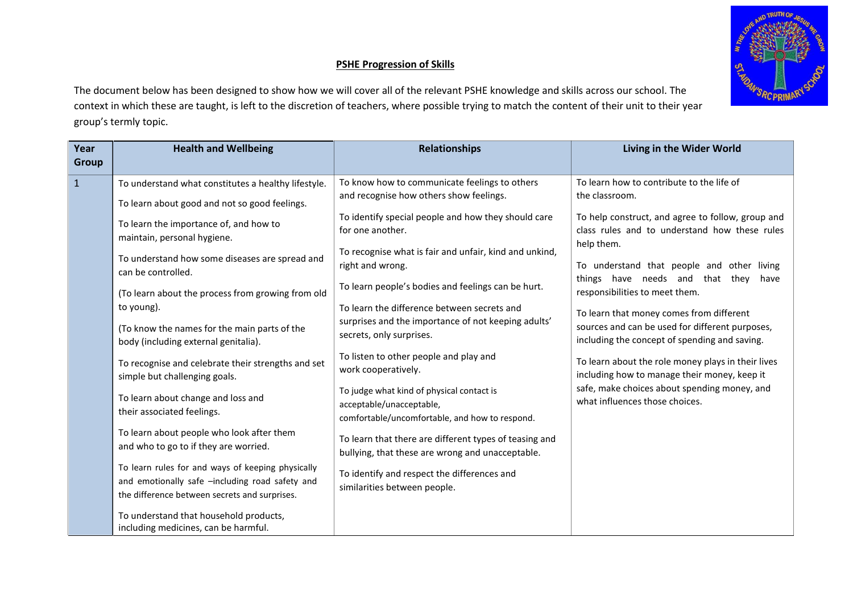## **PSHE Progression of Skills**



The document below has been designed to show how we will cover all of the relevant PSHE knowledge and skills across our school. The context in which these are taught, is left to the discretion of teachers, where possible trying to match the content of their unit to their year group's termly topic.

| Year<br><b>Group</b> | <b>Health and Wellbeing</b>                                                                                                                                                                    | <b>Relationships</b>                                                                                                                                                                 | Living in the Wider World                                                                                                                                                                              |
|----------------------|------------------------------------------------------------------------------------------------------------------------------------------------------------------------------------------------|--------------------------------------------------------------------------------------------------------------------------------------------------------------------------------------|--------------------------------------------------------------------------------------------------------------------------------------------------------------------------------------------------------|
| $\mathbf{1}$         | To understand what constitutes a healthy lifestyle.                                                                                                                                            | To know how to communicate feelings to others<br>and recognise how others show feelings.                                                                                             | To learn how to contribute to the life of<br>the classroom.                                                                                                                                            |
|                      | To learn about good and not so good feelings.<br>To learn the importance of, and how to<br>maintain, personal hygiene.<br>To understand how some diseases are spread and<br>can be controlled. | To identify special people and how they should care<br>for one another.<br>To recognise what is fair and unfair, kind and unkind,<br>right and wrong.                                | To help construct, and agree to follow, group and<br>class rules and to understand how these rules<br>help them.<br>To understand that people and other living<br>things have needs and that they have |
|                      | (To learn about the process from growing from old<br>to young).<br>(To know the names for the main parts of the                                                                                | To learn people's bodies and feelings can be hurt.<br>To learn the difference between secrets and<br>surprises and the importance of not keeping adults'<br>secrets, only surprises. | responsibilities to meet them.<br>To learn that money comes from different<br>sources and can be used for different purposes,                                                                          |
|                      | body (including external genitalia).<br>To recognise and celebrate their strengths and set<br>simple but challenging goals.                                                                    | To listen to other people and play and<br>work cooperatively.<br>To judge what kind of physical contact is                                                                           | including the concept of spending and saving.<br>To learn about the role money plays in their lives<br>including how to manage their money, keep it<br>safe, make choices about spending money, and    |
|                      | To learn about change and loss and<br>their associated feelings.                                                                                                                               | acceptable/unacceptable,<br>comfortable/uncomfortable, and how to respond.                                                                                                           | what influences those choices.                                                                                                                                                                         |
|                      | To learn about people who look after them<br>and who to go to if they are worried.                                                                                                             | To learn that there are different types of teasing and<br>bullying, that these are wrong and unacceptable.                                                                           |                                                                                                                                                                                                        |
|                      | To learn rules for and ways of keeping physically<br>and emotionally safe -including road safety and<br>the difference between secrets and surprises.                                          | To identify and respect the differences and<br>similarities between people.                                                                                                          |                                                                                                                                                                                                        |
|                      | To understand that household products,<br>including medicines, can be harmful.                                                                                                                 |                                                                                                                                                                                      |                                                                                                                                                                                                        |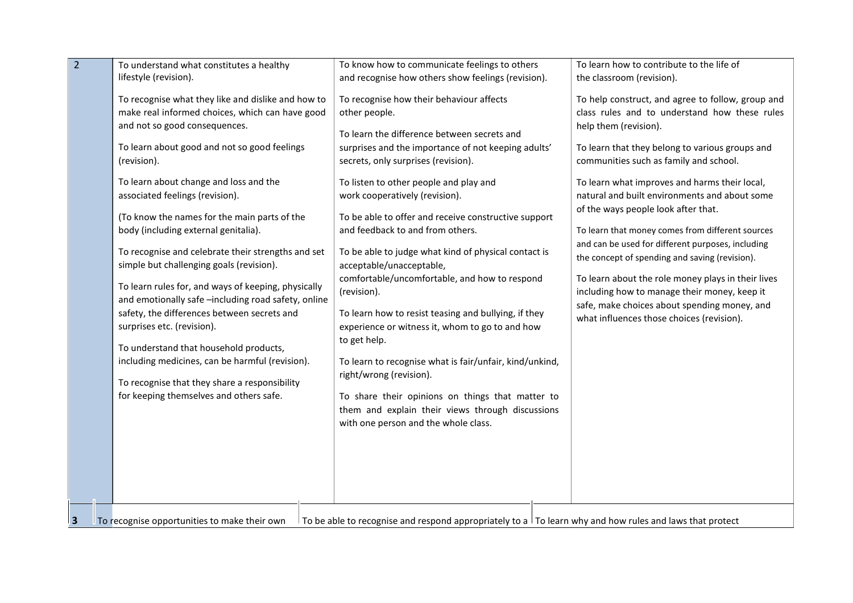| To be able to recognise and respond appropriately to a $\vert$ To learn why and how rules and laws that protect<br>To recognise opportunities to make their own | $\overline{2}$<br>3 | To understand what constitutes a healthy<br>lifestyle (revision).<br>To recognise what they like and dislike and how to<br>make real informed choices, which can have good<br>and not so good consequences.<br>To learn about good and not so good feelings<br>(revision).<br>To learn about change and loss and the<br>associated feelings (revision).<br>(To know the names for the main parts of the<br>body (including external genitalia).<br>To recognise and celebrate their strengths and set<br>simple but challenging goals (revision).<br>To learn rules for, and ways of keeping, physically<br>and emotionally safe -including road safety, online<br>safety, the differences between secrets and<br>surprises etc. (revision).<br>To understand that household products,<br>including medicines, can be harmful (revision).<br>To recognise that they share a responsibility<br>for keeping themselves and others safe. | To know how to communicate feelings to others<br>and recognise how others show feelings (revision).<br>To recognise how their behaviour affects<br>other people.<br>To learn the difference between secrets and<br>surprises and the importance of not keeping adults'<br>secrets, only surprises (revision).<br>To listen to other people and play and<br>work cooperatively (revision).<br>To be able to offer and receive constructive support<br>and feedback to and from others.<br>To be able to judge what kind of physical contact is<br>acceptable/unacceptable,<br>comfortable/uncomfortable, and how to respond<br>(revision).<br>To learn how to resist teasing and bullying, if they<br>experience or witness it, whom to go to and how<br>to get help.<br>To learn to recognise what is fair/unfair, kind/unkind,<br>right/wrong (revision).<br>To share their opinions on things that matter to<br>them and explain their views through discussions<br>with one person and the whole class. | To learn how to contribute to the life of<br>the classroom (revision).<br>To help construct, and agree to follow, group and<br>class rules and to understand how these rules<br>help them (revision).<br>To learn that they belong to various groups and<br>communities such as family and school.<br>To learn what improves and harms their local,<br>natural and built environments and about some<br>of the ways people look after that.<br>To learn that money comes from different sources<br>and can be used for different purposes, including<br>the concept of spending and saving (revision).<br>To learn about the role money plays in their lives<br>including how to manage their money, keep it<br>safe, make choices about spending money, and<br>what influences those choices (revision). |
|-----------------------------------------------------------------------------------------------------------------------------------------------------------------|---------------------|---------------------------------------------------------------------------------------------------------------------------------------------------------------------------------------------------------------------------------------------------------------------------------------------------------------------------------------------------------------------------------------------------------------------------------------------------------------------------------------------------------------------------------------------------------------------------------------------------------------------------------------------------------------------------------------------------------------------------------------------------------------------------------------------------------------------------------------------------------------------------------------------------------------------------------------|------------------------------------------------------------------------------------------------------------------------------------------------------------------------------------------------------------------------------------------------------------------------------------------------------------------------------------------------------------------------------------------------------------------------------------------------------------------------------------------------------------------------------------------------------------------------------------------------------------------------------------------------------------------------------------------------------------------------------------------------------------------------------------------------------------------------------------------------------------------------------------------------------------------------------------------------------------------------------------------------------------|-----------------------------------------------------------------------------------------------------------------------------------------------------------------------------------------------------------------------------------------------------------------------------------------------------------------------------------------------------------------------------------------------------------------------------------------------------------------------------------------------------------------------------------------------------------------------------------------------------------------------------------------------------------------------------------------------------------------------------------------------------------------------------------------------------------|
|-----------------------------------------------------------------------------------------------------------------------------------------------------------------|---------------------|---------------------------------------------------------------------------------------------------------------------------------------------------------------------------------------------------------------------------------------------------------------------------------------------------------------------------------------------------------------------------------------------------------------------------------------------------------------------------------------------------------------------------------------------------------------------------------------------------------------------------------------------------------------------------------------------------------------------------------------------------------------------------------------------------------------------------------------------------------------------------------------------------------------------------------------|------------------------------------------------------------------------------------------------------------------------------------------------------------------------------------------------------------------------------------------------------------------------------------------------------------------------------------------------------------------------------------------------------------------------------------------------------------------------------------------------------------------------------------------------------------------------------------------------------------------------------------------------------------------------------------------------------------------------------------------------------------------------------------------------------------------------------------------------------------------------------------------------------------------------------------------------------------------------------------------------------------|-----------------------------------------------------------------------------------------------------------------------------------------------------------------------------------------------------------------------------------------------------------------------------------------------------------------------------------------------------------------------------------------------------------------------------------------------------------------------------------------------------------------------------------------------------------------------------------------------------------------------------------------------------------------------------------------------------------------------------------------------------------------------------------------------------------|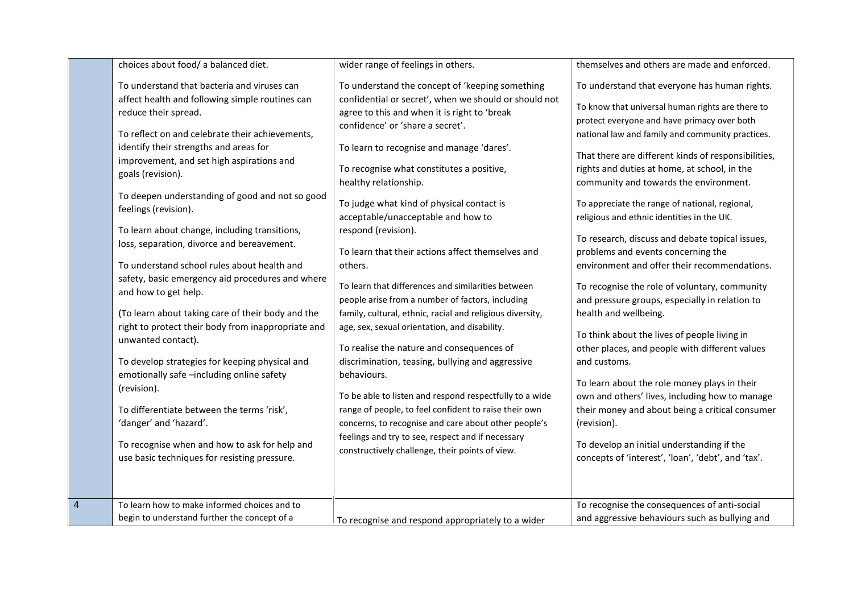|                | choices about food/ a balanced diet.                                                                                                                                                                                                                                                                                                                                                                                                                                                                                                                                                                                                                                                                                                                                                                                                                                                                                                                                                                               | wider range of feelings in others.                                                                                                                                                                                                                                                                                                                                                                                                                                                                                                                                                                                                                                                                                                                                                                                                                                                                                                                                                                                                                                                                                    | themselves and others are made and enforced.                                                                                                                                                                                                                                                                                                                                                                                                                                                                                                                                                                                                                                                                                                                                                                                                                                                                                                                                                                                                                                                                         |
|----------------|--------------------------------------------------------------------------------------------------------------------------------------------------------------------------------------------------------------------------------------------------------------------------------------------------------------------------------------------------------------------------------------------------------------------------------------------------------------------------------------------------------------------------------------------------------------------------------------------------------------------------------------------------------------------------------------------------------------------------------------------------------------------------------------------------------------------------------------------------------------------------------------------------------------------------------------------------------------------------------------------------------------------|-----------------------------------------------------------------------------------------------------------------------------------------------------------------------------------------------------------------------------------------------------------------------------------------------------------------------------------------------------------------------------------------------------------------------------------------------------------------------------------------------------------------------------------------------------------------------------------------------------------------------------------------------------------------------------------------------------------------------------------------------------------------------------------------------------------------------------------------------------------------------------------------------------------------------------------------------------------------------------------------------------------------------------------------------------------------------------------------------------------------------|----------------------------------------------------------------------------------------------------------------------------------------------------------------------------------------------------------------------------------------------------------------------------------------------------------------------------------------------------------------------------------------------------------------------------------------------------------------------------------------------------------------------------------------------------------------------------------------------------------------------------------------------------------------------------------------------------------------------------------------------------------------------------------------------------------------------------------------------------------------------------------------------------------------------------------------------------------------------------------------------------------------------------------------------------------------------------------------------------------------------|
|                | To understand that bacteria and viruses can<br>affect health and following simple routines can<br>reduce their spread.<br>To reflect on and celebrate their achievements,<br>identify their strengths and areas for<br>improvement, and set high aspirations and<br>goals (revision).<br>To deepen understanding of good and not so good<br>feelings (revision).<br>To learn about change, including transitions,<br>loss, separation, divorce and bereavement.<br>To understand school rules about health and<br>safety, basic emergency aid procedures and where<br>and how to get help.<br>(To learn about taking care of their body and the<br>right to protect their body from inappropriate and<br>unwanted contact).<br>To develop strategies for keeping physical and<br>emotionally safe -including online safety<br>(revision).<br>To differentiate between the terms 'risk',<br>'danger' and 'hazard'.<br>To recognise when and how to ask for help and<br>use basic techniques for resisting pressure. | To understand the concept of 'keeping something<br>confidential or secret', when we should or should not<br>agree to this and when it is right to 'break<br>confidence' or 'share a secret'.<br>To learn to recognise and manage 'dares'.<br>To recognise what constitutes a positive,<br>healthy relationship.<br>To judge what kind of physical contact is<br>acceptable/unacceptable and how to<br>respond (revision).<br>To learn that their actions affect themselves and<br>others.<br>To learn that differences and similarities between<br>people arise from a number of factors, including<br>family, cultural, ethnic, racial and religious diversity,<br>age, sex, sexual orientation, and disability.<br>To realise the nature and consequences of<br>discrimination, teasing, bullying and aggressive<br>behaviours.<br>To be able to listen and respond respectfully to a wide<br>range of people, to feel confident to raise their own<br>concerns, to recognise and care about other people's<br>feelings and try to see, respect and if necessary<br>constructively challenge, their points of view. | To understand that everyone has human rights.<br>To know that universal human rights are there to<br>protect everyone and have primacy over both<br>national law and family and community practices.<br>That there are different kinds of responsibilities,<br>rights and duties at home, at school, in the<br>community and towards the environment.<br>To appreciate the range of national, regional,<br>religious and ethnic identities in the UK.<br>To research, discuss and debate topical issues,<br>problems and events concerning the<br>environment and offer their recommendations.<br>To recognise the role of voluntary, community<br>and pressure groups, especially in relation to<br>health and wellbeing.<br>To think about the lives of people living in<br>other places, and people with different values<br>and customs.<br>To learn about the role money plays in their<br>own and others' lives, including how to manage<br>their money and about being a critical consumer<br>(revision).<br>To develop an initial understanding if the<br>concepts of 'interest', 'loan', 'debt', and 'tax'. |
| $\overline{4}$ | To learn how to make informed choices and to<br>begin to understand further the concept of a                                                                                                                                                                                                                                                                                                                                                                                                                                                                                                                                                                                                                                                                                                                                                                                                                                                                                                                       | To recognise and respond appropriately to a wider                                                                                                                                                                                                                                                                                                                                                                                                                                                                                                                                                                                                                                                                                                                                                                                                                                                                                                                                                                                                                                                                     | To recognise the consequences of anti-social<br>and aggressive behaviours such as bullying and                                                                                                                                                                                                                                                                                                                                                                                                                                                                                                                                                                                                                                                                                                                                                                                                                                                                                                                                                                                                                       |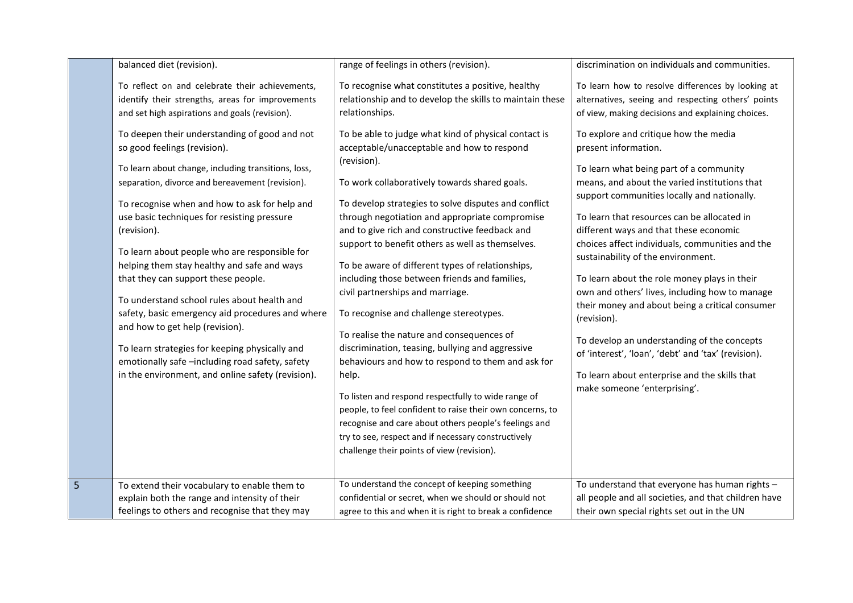|   | balanced diet (revision).                                                                                                                                                                                                                                                                                                                                                                                                                                                                                                                                                                                                                                                                                                                                                                                                                                                                             | range of feelings in others (revision).                                                                                                                                                                                                                                                                                                                                                                                                                                                                                                                                                                                                                                                                                                                                                                                                                                                                                                                                                                                                                                                                                                                    | discrimination on individuals and communities.                                                                                                                                                                                                                                                                                                                                                                                                                                                                                                                                                                                                                                                                                                                                                                                                                                                                        |
|---|-------------------------------------------------------------------------------------------------------------------------------------------------------------------------------------------------------------------------------------------------------------------------------------------------------------------------------------------------------------------------------------------------------------------------------------------------------------------------------------------------------------------------------------------------------------------------------------------------------------------------------------------------------------------------------------------------------------------------------------------------------------------------------------------------------------------------------------------------------------------------------------------------------|------------------------------------------------------------------------------------------------------------------------------------------------------------------------------------------------------------------------------------------------------------------------------------------------------------------------------------------------------------------------------------------------------------------------------------------------------------------------------------------------------------------------------------------------------------------------------------------------------------------------------------------------------------------------------------------------------------------------------------------------------------------------------------------------------------------------------------------------------------------------------------------------------------------------------------------------------------------------------------------------------------------------------------------------------------------------------------------------------------------------------------------------------------|-----------------------------------------------------------------------------------------------------------------------------------------------------------------------------------------------------------------------------------------------------------------------------------------------------------------------------------------------------------------------------------------------------------------------------------------------------------------------------------------------------------------------------------------------------------------------------------------------------------------------------------------------------------------------------------------------------------------------------------------------------------------------------------------------------------------------------------------------------------------------------------------------------------------------|
|   | To reflect on and celebrate their achievements,<br>identify their strengths, areas for improvements<br>and set high aspirations and goals (revision).<br>To deepen their understanding of good and not<br>so good feelings (revision).<br>To learn about change, including transitions, loss,<br>separation, divorce and bereavement (revision).<br>To recognise when and how to ask for help and<br>use basic techniques for resisting pressure<br>(revision).<br>To learn about people who are responsible for<br>helping them stay healthy and safe and ways<br>that they can support these people.<br>To understand school rules about health and<br>safety, basic emergency aid procedures and where<br>and how to get help (revision).<br>To learn strategies for keeping physically and<br>emotionally safe-including road safety, safety<br>in the environment, and online safety (revision). | To recognise what constitutes a positive, healthy<br>relationship and to develop the skills to maintain these<br>relationships.<br>To be able to judge what kind of physical contact is<br>acceptable/unacceptable and how to respond<br>(revision).<br>To work collaboratively towards shared goals.<br>To develop strategies to solve disputes and conflict<br>through negotiation and appropriate compromise<br>and to give rich and constructive feedback and<br>support to benefit others as well as themselves.<br>To be aware of different types of relationships,<br>including those between friends and families,<br>civil partnerships and marriage.<br>To recognise and challenge stereotypes.<br>To realise the nature and consequences of<br>discrimination, teasing, bullying and aggressive<br>behaviours and how to respond to them and ask for<br>help.<br>To listen and respond respectfully to wide range of<br>people, to feel confident to raise their own concerns, to<br>recognise and care about others people's feelings and<br>try to see, respect and if necessary constructively<br>challenge their points of view (revision). | To learn how to resolve differences by looking at<br>alternatives, seeing and respecting others' points<br>of view, making decisions and explaining choices.<br>To explore and critique how the media<br>present information.<br>To learn what being part of a community<br>means, and about the varied institutions that<br>support communities locally and nationally.<br>To learn that resources can be allocated in<br>different ways and that these economic<br>choices affect individuals, communities and the<br>sustainability of the environment.<br>To learn about the role money plays in their<br>own and others' lives, including how to manage<br>their money and about being a critical consumer<br>(revision).<br>To develop an understanding of the concepts<br>of 'interest', 'loan', 'debt' and 'tax' (revision).<br>To learn about enterprise and the skills that<br>make someone 'enterprising'. |
| 5 | To extend their vocabulary to enable them to<br>explain both the range and intensity of their<br>feelings to others and recognise that they may                                                                                                                                                                                                                                                                                                                                                                                                                                                                                                                                                                                                                                                                                                                                                       | To understand the concept of keeping something<br>confidential or secret, when we should or should not                                                                                                                                                                                                                                                                                                                                                                                                                                                                                                                                                                                                                                                                                                                                                                                                                                                                                                                                                                                                                                                     | To understand that everyone has human rights -<br>all people and all societies, and that children have<br>their own special rights set out in the UN                                                                                                                                                                                                                                                                                                                                                                                                                                                                                                                                                                                                                                                                                                                                                                  |
|   |                                                                                                                                                                                                                                                                                                                                                                                                                                                                                                                                                                                                                                                                                                                                                                                                                                                                                                       | agree to this and when it is right to break a confidence                                                                                                                                                                                                                                                                                                                                                                                                                                                                                                                                                                                                                                                                                                                                                                                                                                                                                                                                                                                                                                                                                                   |                                                                                                                                                                                                                                                                                                                                                                                                                                                                                                                                                                                                                                                                                                                                                                                                                                                                                                                       |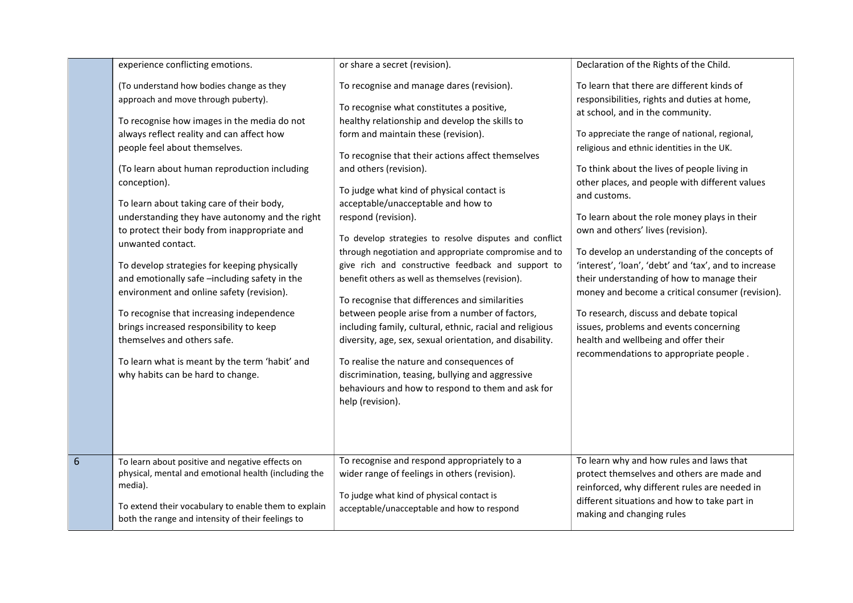|                 | experience conflicting emotions.                                                                                                                                                                                                                                                                                                                                                                                                                                                                                                                                                                                                                                                                                                                                                                             | or share a secret (revision).                                                                                                                                                                                                                                                                                                                                                                                                                                                                                                                                                                                                                                                                                                                                                                                                                                                                                                                                                                               | Declaration of the Rights of the Child.                                                                                                                                                                                                                                                                                                                                                                                                                                                                                                                                                                                                                                                                                                                                                                                   |
|-----------------|--------------------------------------------------------------------------------------------------------------------------------------------------------------------------------------------------------------------------------------------------------------------------------------------------------------------------------------------------------------------------------------------------------------------------------------------------------------------------------------------------------------------------------------------------------------------------------------------------------------------------------------------------------------------------------------------------------------------------------------------------------------------------------------------------------------|-------------------------------------------------------------------------------------------------------------------------------------------------------------------------------------------------------------------------------------------------------------------------------------------------------------------------------------------------------------------------------------------------------------------------------------------------------------------------------------------------------------------------------------------------------------------------------------------------------------------------------------------------------------------------------------------------------------------------------------------------------------------------------------------------------------------------------------------------------------------------------------------------------------------------------------------------------------------------------------------------------------|---------------------------------------------------------------------------------------------------------------------------------------------------------------------------------------------------------------------------------------------------------------------------------------------------------------------------------------------------------------------------------------------------------------------------------------------------------------------------------------------------------------------------------------------------------------------------------------------------------------------------------------------------------------------------------------------------------------------------------------------------------------------------------------------------------------------------|
|                 | (To understand how bodies change as they<br>approach and move through puberty).<br>To recognise how images in the media do not<br>always reflect reality and can affect how<br>people feel about themselves.<br>(To learn about human reproduction including<br>conception).<br>To learn about taking care of their body,<br>understanding they have autonomy and the right<br>to protect their body from inappropriate and<br>unwanted contact.<br>To develop strategies for keeping physically<br>and emotionally safe -including safety in the<br>environment and online safety (revision).<br>To recognise that increasing independence<br>brings increased responsibility to keep<br>themselves and others safe.<br>To learn what is meant by the term 'habit' and<br>why habits can be hard to change. | To recognise and manage dares (revision).<br>To recognise what constitutes a positive,<br>healthy relationship and develop the skills to<br>form and maintain these (revision).<br>To recognise that their actions affect themselves<br>and others (revision).<br>To judge what kind of physical contact is<br>acceptable/unacceptable and how to<br>respond (revision).<br>To develop strategies to resolve disputes and conflict<br>through negotiation and appropriate compromise and to<br>give rich and constructive feedback and support to<br>benefit others as well as themselves (revision).<br>To recognise that differences and similarities<br>between people arise from a number of factors,<br>including family, cultural, ethnic, racial and religious<br>diversity, age, sex, sexual orientation, and disability.<br>To realise the nature and consequences of<br>discrimination, teasing, bullying and aggressive<br>behaviours and how to respond to them and ask for<br>help (revision). | To learn that there are different kinds of<br>responsibilities, rights and duties at home,<br>at school, and in the community.<br>To appreciate the range of national, regional,<br>religious and ethnic identities in the UK.<br>To think about the lives of people living in<br>other places, and people with different values<br>and customs.<br>To learn about the role money plays in their<br>own and others' lives (revision).<br>To develop an understanding of the concepts of<br>'interest', 'loan', 'debt' and 'tax', and to increase<br>their understanding of how to manage their<br>money and become a critical consumer (revision).<br>To research, discuss and debate topical<br>issues, problems and events concerning<br>health and wellbeing and offer their<br>recommendations to appropriate people. |
| $6\phantom{1}6$ | To learn about positive and negative effects on<br>physical, mental and emotional health (including the<br>media).<br>To extend their vocabulary to enable them to explain<br>both the range and intensity of their feelings to                                                                                                                                                                                                                                                                                                                                                                                                                                                                                                                                                                              | To recognise and respond appropriately to a<br>wider range of feelings in others (revision).<br>To judge what kind of physical contact is<br>acceptable/unacceptable and how to respond                                                                                                                                                                                                                                                                                                                                                                                                                                                                                                                                                                                                                                                                                                                                                                                                                     | To learn why and how rules and laws that<br>protect themselves and others are made and<br>reinforced, why different rules are needed in<br>different situations and how to take part in<br>making and changing rules                                                                                                                                                                                                                                                                                                                                                                                                                                                                                                                                                                                                      |